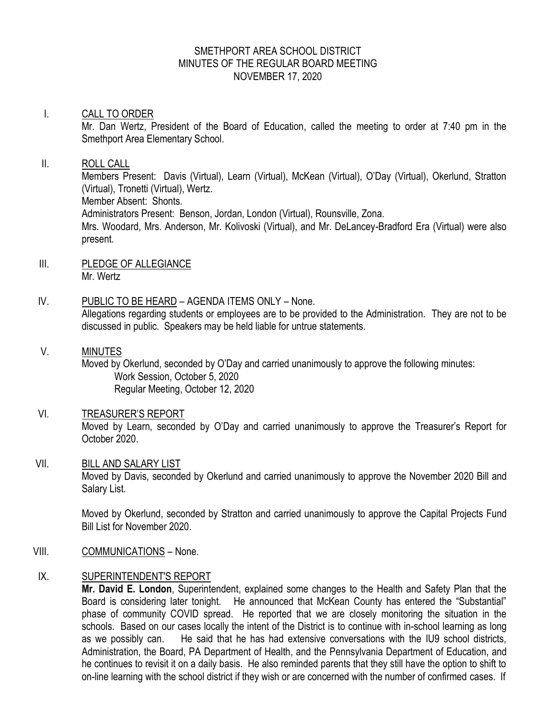# SMETHPORT AREA SCHOOL DISTRICT MINUTES OF THE REGULAR BOARD MEETING NOVEMBER 17, 2020

# I. CALL TO ORDER Mr. Dan Wertz, President of the Board of Education, called the meeting to order at 7:40 pm in the Smethport Area Elementary School. II. ROLL CALL

Members Present: Davis (Virtual), Learn (Virtual), McKean (Virtual), O'Day (Virtual), Okerlund, Stratton (Virtual), Tronetti (Virtual), Wertz. Member Absent: Shonts. Administrators Present: Benson, Jordan, London (Virtual), Rounsville, Zona. Mrs. Woodard, Mrs. Anderson, Mr. Kolivoski (Virtual), and Mr. DeLancey-Bradford Era (Virtual) were also present.

- III. PLEDGE OF ALLEGIANCE Mr. Wertz
- IV. PUBLIC TO BE HEARD AGENDA ITEMS ONLY None. Allegations regarding students or employees are to be provided to the Administration. They are not to be discussed in public. Speakers may be held liable for untrue statements.

# V. MINUTES Moved by Okerlund, seconded by O'Day and carried unanimously to approve the following minutes: Work Session, October 5, 2020 Regular Meeting, October 12, 2020

VI. TREASURER'S REPORT Moved by Learn, seconded by O'Day and carried unanimously to approve the Treasurer's Report for October 2020.

# VII. BILL AND SALARY LIST Moved by Davis, seconded by Okerlund and carried unanimously to approve the November 2020 Bill and Salary List.

Moved by Okerlund, seconded by Stratton and carried unanimously to approve the Capital Projects Fund Bill List for November 2020.

VIII. COMMUNICATIONS – None.

# IX. SUPERINTENDENT'S REPORT

**Mr. David E. London**, Superintendent, explained some changes to the Health and Safety Plan that the Board is considering later tonight. He announced that McKean County has entered the "Substantial" phase of community COVID spread. He reported that we are closely monitoring the situation in the schools. Based on our cases locally the intent of the District is to continue with in-school learning as long as we possibly can. He said that he has had extensive conversations with the IU9 school districts, Administration, the Board, PA Department of Health, and the Pennsylvania Department of Education, and he continues to revisit it on a daily basis. He also reminded parents that they still have the option to shift to on-line learning with the school district if they wish or are concerned with the number of confirmed cases. If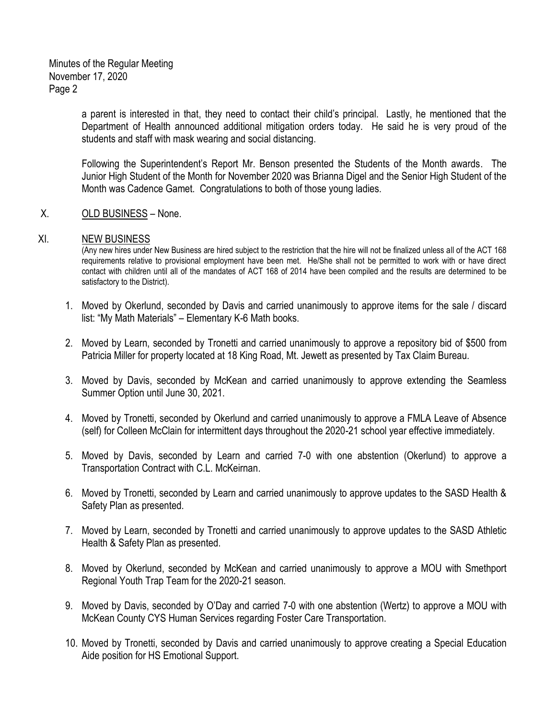Minutes of the Regular Meeting November 17, 2020 Page 2

> a parent is interested in that, they need to contact their child's principal. Lastly, he mentioned that the Department of Health announced additional mitigation orders today. He said he is very proud of the students and staff with mask wearing and social distancing.

> Following the Superintendent's Report Mr. Benson presented the Students of the Month awards. The Junior High Student of the Month for November 2020 was Brianna Digel and the Senior High Student of the Month was Cadence Gamet. Congratulations to both of those young ladies.

### X. OLD BUSINESS – None.

#### XI. NEW BUSINESS

(Any new hires under New Business are hired subject to the restriction that the hire will not be finalized unless all of the ACT 168 requirements relative to provisional employment have been met. He/She shall not be permitted to work with or have direct contact with children until all of the mandates of ACT 168 of 2014 have been compiled and the results are determined to be satisfactory to the District).

- 1. Moved by Okerlund, seconded by Davis and carried unanimously to approve items for the sale / discard list: "My Math Materials" – Elementary K-6 Math books.
- 2. Moved by Learn, seconded by Tronetti and carried unanimously to approve a repository bid of \$500 from Patricia Miller for property located at 18 King Road, Mt. Jewett as presented by Tax Claim Bureau.
- 3. Moved by Davis, seconded by McKean and carried unanimously to approve extending the Seamless Summer Option until June 30, 2021.
- 4. Moved by Tronetti, seconded by Okerlund and carried unanimously to approve a FMLA Leave of Absence (self) for Colleen McClain for intermittent days throughout the 2020-21 school year effective immediately.
- 5. Moved by Davis, seconded by Learn and carried 7-0 with one abstention (Okerlund) to approve a Transportation Contract with C.L. McKeirnan.
- 6. Moved by Tronetti, seconded by Learn and carried unanimously to approve updates to the SASD Health & Safety Plan as presented.
- 7. Moved by Learn, seconded by Tronetti and carried unanimously to approve updates to the SASD Athletic Health & Safety Plan as presented.
- 8. Moved by Okerlund, seconded by McKean and carried unanimously to approve a MOU with Smethport Regional Youth Trap Team for the 2020-21 season.
- 9. Moved by Davis, seconded by O'Day and carried 7-0 with one abstention (Wertz) to approve a MOU with McKean County CYS Human Services regarding Foster Care Transportation.
- 10. Moved by Tronetti, seconded by Davis and carried unanimously to approve creating a Special Education Aide position for HS Emotional Support.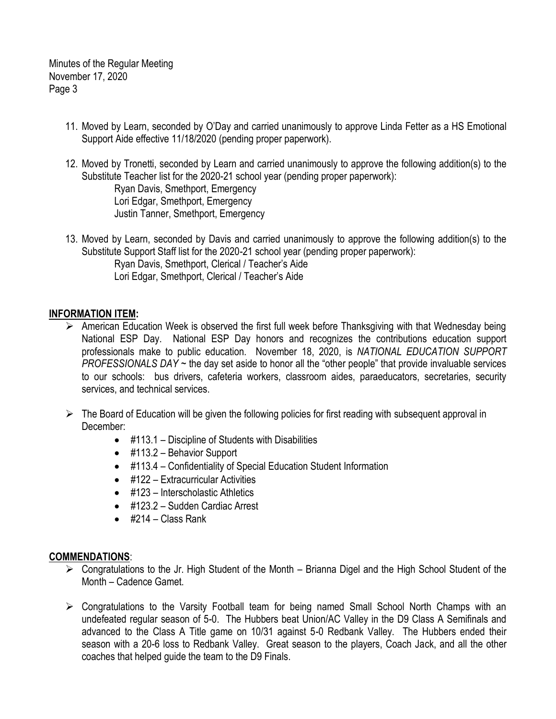Minutes of the Regular Meeting November 17, 2020 Page 3

- 11. Moved by Learn, seconded by O'Day and carried unanimously to approve Linda Fetter as a HS Emotional Support Aide effective 11/18/2020 (pending proper paperwork).
- 12. Moved by Tronetti, seconded by Learn and carried unanimously to approve the following addition(s) to the Substitute Teacher list for the 2020-21 school year (pending proper paperwork): Ryan Davis, Smethport, Emergency Lori Edgar, Smethport, Emergency Justin Tanner, Smethport, Emergency
- 13. Moved by Learn, seconded by Davis and carried unanimously to approve the following addition(s) to the Substitute Support Staff list for the 2020-21 school year (pending proper paperwork): Ryan Davis, Smethport, Clerical / Teacher's Aide Lori Edgar, Smethport, Clerical / Teacher's Aide

# **INFORMATION ITEM:**

- $\triangleright$  American Education Week is observed the first full week before Thanksgiving with that Wednesday being National ESP Day. National ESP Day honors and recognizes the contributions education support professionals make to public education. November 18, 2020, is *NATIONAL EDUCATION SUPPORT PROFESSIONALS DAY* ~ the day set aside to honor all the "other people" that provide invaluable services to our schools: bus drivers, cafeteria workers, classroom aides, paraeducators, secretaries, security services, and technical services.
- $\triangleright$  The Board of Education will be given the following policies for first reading with subsequent approval in December:
	- #113.1 Discipline of Students with Disabilities
	- #113.2 Behavior Support
	- #113.4 Confidentiality of Special Education Student Information
	- #122 Extracurricular Activities
	- #123 Interscholastic Athletics
	- #123.2 Sudden Cardiac Arrest
	- $\bullet$  #214 Class Rank

# **COMMENDATIONS**:

- $\triangleright$  Congratulations to the Jr. High Student of the Month Brianna Digel and the High School Student of the Month – Cadence Gamet.
- $\triangleright$  Congratulations to the Varsity Football team for being named Small School North Champs with an undefeated regular season of 5-0. The Hubbers beat Union/AC Valley in the D9 Class A Semifinals and advanced to the Class A Title game on 10/31 against 5-0 Redbank Valley. The Hubbers ended their season with a 20-6 loss to Redbank Valley. Great season to the players, Coach Jack, and all the other coaches that helped guide the team to the D9 Finals.